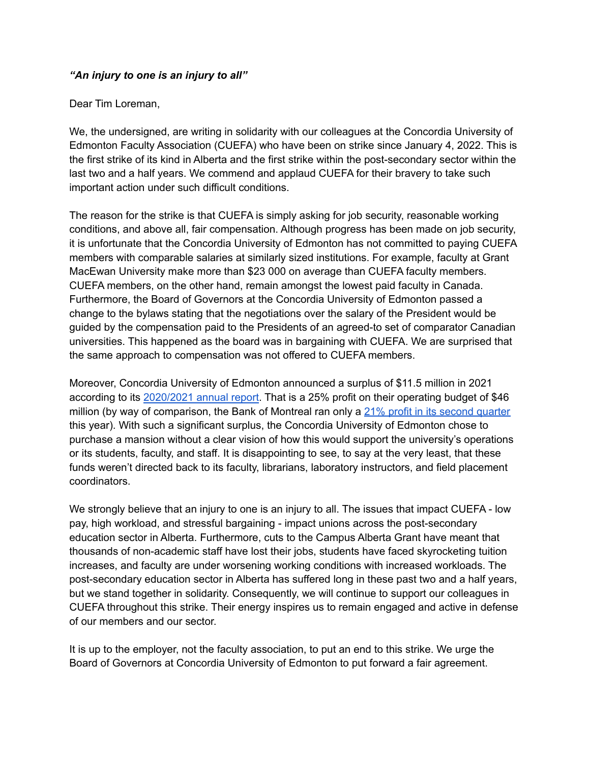## *"An injury to one is an injury to all"*

## Dear Tim Loreman,

We, the undersigned, are writing in solidarity with our colleagues at the Concordia University of Edmonton Faculty Association (CUEFA) who have been on strike since January 4, 2022. This is the first strike of its kind in Alberta and the first strike within the post-secondary sector within the last two and a half years. We commend and applaud CUEFA for their bravery to take such important action under such difficult conditions.

The reason for the strike is that CUEFA is simply asking for job security, reasonable working conditions, and above all, fair compensation. Although progress has been made on job security, it is unfortunate that the Concordia University of Edmonton has not committed to paying CUEFA members with comparable salaries at similarly sized institutions. For example, faculty at Grant MacEwan University make more than \$23 000 on average than CUEFA faculty members. CUEFA members, on the other hand, remain amongst the lowest paid faculty in Canada. Furthermore, the Board of Governors at the Concordia University of Edmonton passed a change to the bylaws stating that the negotiations over the salary of the President would be guided by the compensation paid to the Presidents of an agreed-to set of comparator Canadian universities. This happened as the board was in bargaining with CUEFA. We are surprised that the same approach to compensation was not offered to CUEFA members.

Moreover, Concordia University of Edmonton announced a surplus of \$11.5 million in 2021 according to its [2020/2021](https://concordia.ab.ca/wp-content/uploads/2021/12/Annual-Report-2020-21-Public-New.pdf) annual report. That is a 25% profit on their operating budget of \$46 million (by way of comparison, the Bank of Montreal ran only a  $21\%$  profit in its [second](https://globalnews.ca/news/7901944/canada-banks-earnings-q2/) quarter this year). With such a significant surplus, the Concordia University of Edmonton chose to purchase a mansion without a clear vision of how this would support the university's operations or its students, faculty, and staff. It is disappointing to see, to say at the very least, that these funds weren't directed back to its faculty, librarians, laboratory instructors, and field placement coordinators.

We strongly believe that an injury to one is an injury to all. The issues that impact CUEFA - low pay, high workload, and stressful bargaining - impact unions across the post-secondary education sector in Alberta. Furthermore, cuts to the Campus Alberta Grant have meant that thousands of non-academic staff have lost their jobs, students have faced skyrocketing tuition increases, and faculty are under worsening working conditions with increased workloads. The post-secondary education sector in Alberta has suffered long in these past two and a half years, but we stand together in solidarity. Consequently, we will continue to support our colleagues in CUEFA throughout this strike. Their energy inspires us to remain engaged and active in defense of our members and our sector.

It is up to the employer, not the faculty association, to put an end to this strike. We urge the Board of Governors at Concordia University of Edmonton to put forward a fair agreement.